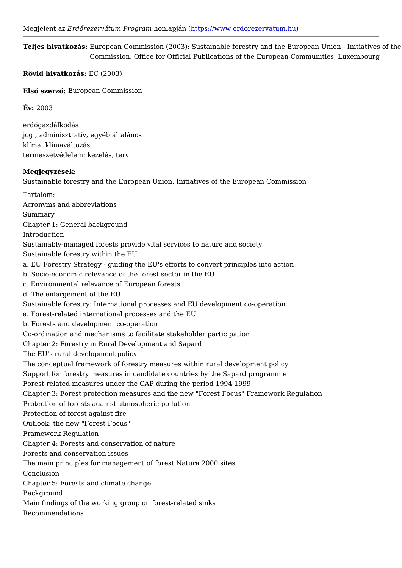Teljes hivatkozEáusropean Commission (2003): Sustainable forestry and the Europea Commission. Office for Official Publications of the European Comm Rövid hivatkozás: (2003) ElsQ szer*E*Quropean Commission  $Év: 2003$ erdQgazdálkodás jogi, adminisztratív, egyéb általános klíma: klímaváltozás természetvédelem: kezelés, terv Megjegyzések: Sustainable forestry and the European Union. Initiatives of the European Commiss Tartalom: Acronyms and abbreviations Summary Chapter 1: General background Introduction Sustainably-managed forests provide vital services to nature and society Sustainable forestry within the EU a. EU Forestry Strategy - guiding the EU's efforts to convert principles into action b. Socio-economic relevance of the forest sector in the EU c. Environmental relevance of European forests d. The enlargement of the EU Sustainable forestry: International processes and EU development co-operation a. Forest-related international processes and the EU b. Forests and development co-operation Co-ordination and mechanisms to facilitate stakeholder participation Chapter 2: Forestry in Rural Development and Sapard The EU's rural development policy The conceptual framework of forestry measures within rural development policy Support for forestry measures in candidate countries by the Sapard programme Forest-related measures under the CAP during the period 1994-1999 Chapter 3: Forest protection measures and the new "Forest Focus" Framework Reg Protection of forests against atmospheric pollution Protection of forest against fire Outlook: the new "Forest Focus" Framework Regulation Chapter 4: Forests and conservation of nature Forests and conservation issues The main principles for management of forest Natura 2000 sites Conclusion Chapter 5: Forests and climate change Background Main findings of the working group on forest-related sinks Recommendations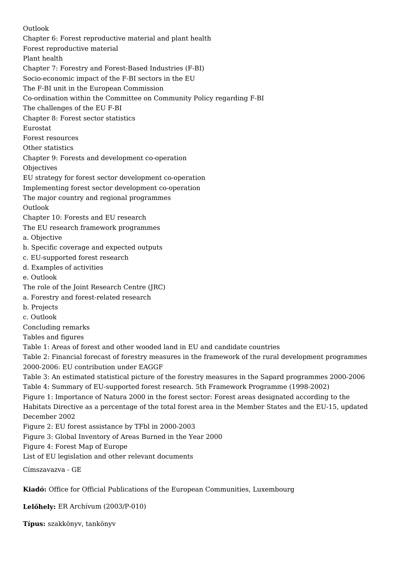Outlook Chapter 6: Forest reproductive material and plant health Forest reproductive material Plant health Chapter 7: Forestry and Forest-Based Industries (F-BI) Socio-economic impact of the F-BI sectors in the EU The F-BI unit in the European Commission Co-ordination within the Committee on Community Policy regarding F-BI The challenges of the EU F-BI Chapter 8: Forest sector statistics Eurostat Forest resources Other statistics Chapter 9: Forests and development co-operation Objectives EU strategy for forest sector development co-operation Implementing forest sector development co-operation The major country and regional programmes Outlook Chapter 10: Forests and EU research The EU research framework programmes a. Objective b. Specific coverage and expected outputs c. EU-supported forest research d. Examples of activities e. Outlook The role of the Joint Research Centre (JRC) a. Forestry and forest-related research b. Projects c. Outlook Concluding remarks Tables and figures Table 1: Areas of forest and other wooded land in EU and candidate countries Table 2: Financial forecast of forestry measures in the framework of the rural development programmes 2000-2006: EU contribution under EAGGF Table 3: An estimated statistical picture of the forestry measures in the Sapard programmes 2000-2006 Table 4: Summary of EU-supported forest research. 5th Framework Programme (1998-2002) Figure 1: Importance of Natura 2000 in the forest sector: Forest areas designated according to the Habitats Directive as a percentage of the total forest area in the Member States and the EU-15, updated December 2002 Figure 2: EU forest assistance by TFbl in 2000-2003 Figure 3: Global Inventory of Areas Burned in the Year 2000 Figure 4: Forest Map of Europe List of EU legislation and other relevant documents

Címszavazva - GE

**Kiadó:** Office for Official Publications of the European Communities, Luxembourg

**Lelőhely:** ER Archívum (2003/P-010)

**Típus:** szakkönyv, tankönyv